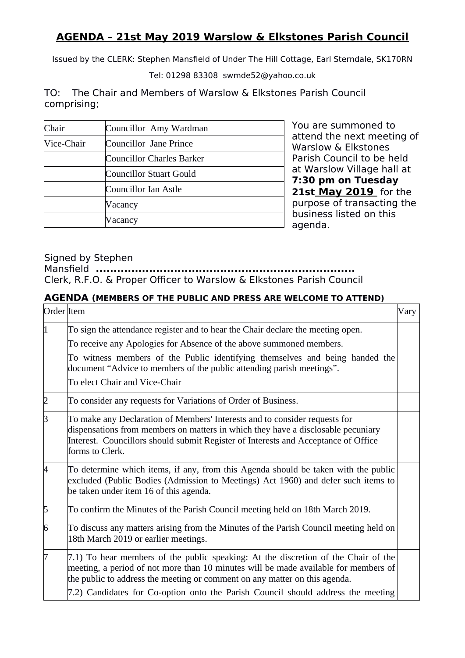### **AGENDA – 21st May 2019 Warslow & Elkstones Parish Council**

Issued by the CLERK: Stephen Mansfield of Under The Hill Cottage, Earl Sterndale, SK170RN

Tel: 01298 83308 swmde52@yahoo.co.uk

TO: The Chair and Members of Warslow & Elkstones Parish Council comprising;

| Chair      | Councillor Amy Wardman           |
|------------|----------------------------------|
| Vice-Chair | Councillor Jane Prince           |
|            | <b>Councillor Charles Barker</b> |
|            | Councillor Stuart Gould          |
|            | Councillor Ian Astle             |
|            | Vacancy                          |
|            | Vacancy                          |

You are summoned to attend the next meeting of Warslow & Elkstones Parish Council to be held at Warslow Village hall at **7:30 pm on Tuesday 21st May 2019** for the purpose of transacting the business listed on this agenda.

#### Signed by Stephen

Mansfield **.........................................................................** Clerk, R.F.O. & Proper Officer to Warslow & Elkstones Parish Council

#### **AGENDA (MEMBERS OF THE PUBLIC AND PRESS ARE WELCOME TO ATTEND)**

| Order Item     |                                                                                                                                                                                                                                                                         | Vary |
|----------------|-------------------------------------------------------------------------------------------------------------------------------------------------------------------------------------------------------------------------------------------------------------------------|------|
| 1              | To sign the attendance register and to hear the Chair declare the meeting open.                                                                                                                                                                                         |      |
|                | To receive any Apologies for Absence of the above summoned members.                                                                                                                                                                                                     |      |
|                | To witness members of the Public identifying themselves and being handed the<br>document "Advice to members of the public attending parish meetings".                                                                                                                   |      |
|                | To elect Chair and Vice-Chair                                                                                                                                                                                                                                           |      |
| $\sqrt{2}$     | To consider any requests for Variations of Order of Business.                                                                                                                                                                                                           |      |
| $\beta$        | To make any Declaration of Members' Interests and to consider requests for<br>dispensations from members on matters in which they have a disclosable pecuniary<br>Interest. Councillors should submit Register of Interests and Acceptance of Office<br>forms to Clerk. |      |
| 4              | To determine which items, if any, from this Agenda should be taken with the public<br>excluded (Public Bodies (Admission to Meetings) Act 1960) and defer such items to<br>be taken under item 16 of this agenda.                                                       |      |
| $\sqrt{5}$     | To confirm the Minutes of the Parish Council meeting held on 18th March 2019.                                                                                                                                                                                           |      |
| $\overline{6}$ | To discuss any matters arising from the Minutes of the Parish Council meeting held on<br>18th March 2019 or earlier meetings.                                                                                                                                           |      |
| $\overline{7}$ | 7.1) To hear members of the public speaking: At the discretion of the Chair of the<br>meeting, a period of not more than 10 minutes will be made available for members of<br>the public to address the meeting or comment on any matter on this agenda.                 |      |
|                | 7.2) Candidates for Co-option onto the Parish Council should address the meeting                                                                                                                                                                                        |      |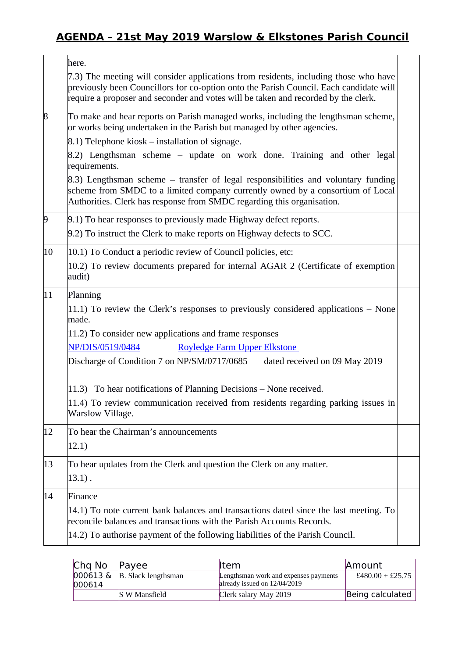## **AGENDA – 21st May 2019 Warslow & Elkstones Parish Council**

|              | here.                                                                                                                                                                                                                                                                |
|--------------|----------------------------------------------------------------------------------------------------------------------------------------------------------------------------------------------------------------------------------------------------------------------|
|              | 7.3) The meeting will consider applications from residents, including those who have<br>previously been Councillors for co-option onto the Parish Council. Each candidate will<br>require a proposer and seconder and votes will be taken and recorded by the clerk. |
| $\vert 8$    | To make and hear reports on Parish managed works, including the lengthsman scheme,<br>or works being undertaken in the Parish but managed by other agencies.                                                                                                         |
|              | 8.1) Telephone kiosk – installation of signage.                                                                                                                                                                                                                      |
|              | 8.2) Lengthsman scheme – update on work done. Training and other legal<br>requirements.                                                                                                                                                                              |
|              | 8.3) Lengthsman scheme – transfer of legal responsibilities and voluntary funding<br>scheme from SMDC to a limited company currently owned by a consortium of Local<br>Authorities. Clerk has response from SMDC regarding this organisation.                        |
| $\vert 9$    | 9.1) To hear responses to previously made Highway defect reports.<br>9.2) To instruct the Clerk to make reports on Highway defects to SCC.                                                                                                                           |
| $ 10\rangle$ | 10.1) To Conduct a periodic review of Council policies, etc:                                                                                                                                                                                                         |
|              | 10.2) To review documents prepared for internal AGAR 2 (Certificate of exemption<br>audit)                                                                                                                                                                           |
| 11           | Planning                                                                                                                                                                                                                                                             |
|              | 11.1) To review the Clerk's responses to previously considered applications - None<br>made.                                                                                                                                                                          |
|              | $(11.2)$ To consider new applications and frame responses                                                                                                                                                                                                            |
|              | NP/DIS/0519/0484<br><b>Royledge Farm Upper Elkstone</b>                                                                                                                                                                                                              |
|              | Discharge of Condition 7 on NP/SM/0717/0685<br>dated received on 09 May 2019                                                                                                                                                                                         |
|              | 11.3) To hear notifications of Planning Decisions - None received.                                                                                                                                                                                                   |
|              | 11.4) To review communication received from residents regarding parking issues in<br>Warslow Village.                                                                                                                                                                |
| $ 12\rangle$ | To hear the Chairman's announcements                                                                                                                                                                                                                                 |
|              | 12.1)                                                                                                                                                                                                                                                                |
| 13           | To hear updates from the Clerk and question the Clerk on any matter.                                                                                                                                                                                                 |
|              | $13.1$ .                                                                                                                                                                                                                                                             |
| 14           | Finance                                                                                                                                                                                                                                                              |
|              | 14.1) To note current bank balances and transactions dated since the last meeting. To<br>reconcile balances and transactions with the Parish Accounts Records.                                                                                                       |
|              | 14.2) To authorise payment of the following liabilities of the Parish Council.                                                                                                                                                                                       |

| Chg No | Payee                                              | lltem                                                                 | Amount           |
|--------|----------------------------------------------------|-----------------------------------------------------------------------|------------------|
| 000614 | $ 000613 \& \& \& \quad  B. \text{ Slack lengths}$ | Lengthsman work and expenses payments<br>already issued on 12/04/2019 | £480.00 + £25.75 |
|        | S W Mansfield                                      | Clerk salary May 2019                                                 | Being calculated |